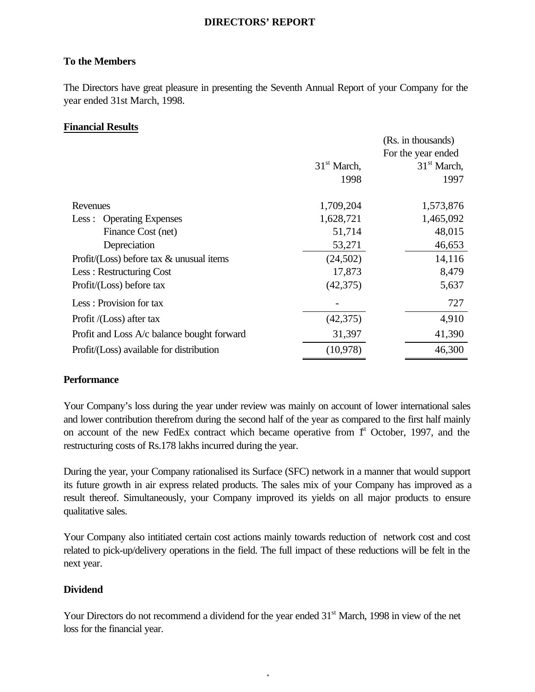# **DIRECTORS' REPORT**

# **To the Members**

The Directors have great pleasure in presenting the Seventh Annual Report of your Company for the year ended 31st March, 1998.

# **Financial Results**

|                                             |               | (Rs. in thousands)      |
|---------------------------------------------|---------------|-------------------------|
|                                             |               | For the year ended      |
|                                             | $31st$ March, | 31 <sup>st</sup> March, |
|                                             | 1998          | 1997                    |
| Revenues                                    | 1,709,204     | 1,573,876               |
| <b>Operating Expenses</b><br>Less:          | 1,628,721     | 1,465,092               |
| Finance Cost (net)                          | 51,714        | 48,015                  |
| Depreciation                                | 53,271        | 46,653                  |
| Profit/(Loss) before tax $\&$ unusual items | (24,502)      | 14,116                  |
| Less: Restructuring Cost                    | 17,873        | 8,479                   |
| Profit/(Loss) before tax                    | (42, 375)     | 5,637                   |
| Less: Provision for tax                     |               | 727                     |
| Profit /(Loss) after tax                    | (42, 375)     | 4,910                   |
| Profit and Loss A/c balance bought forward  | 31,397        | 41,390                  |
| Profit/(Loss) available for distribution    | (10,978)      | 46,300                  |

# **Performance**

Your Company's loss during the year under review was mainly on account of lower international sales and lower contribution therefrom during the second half of the year as compared to the first half mainly on account of the new FedEx contract which became operative from  $f<sup>st</sup>$  October, 1997, and the restructuring costs of Rs.178 lakhs incurred during the year.

During the year, your Company rationalised its Surface (SFC) network in a manner that would support its future growth in air express related products. The sales mix of your Company has improved as a result thereof. Simultaneously, your Company improved its yields on all major products to ensure qualitative sales.

Your Company also intitiated certain cost actions mainly towards reduction of network cost and cost related to pick-up/delivery operations in the field. The full impact of these reductions will be felt in the next year.

# **Dividend**

Your Directors do not recommend a dividend for the year ended 31<sup>st</sup> March, 1998 in view of the net loss for the financial year.

- 1-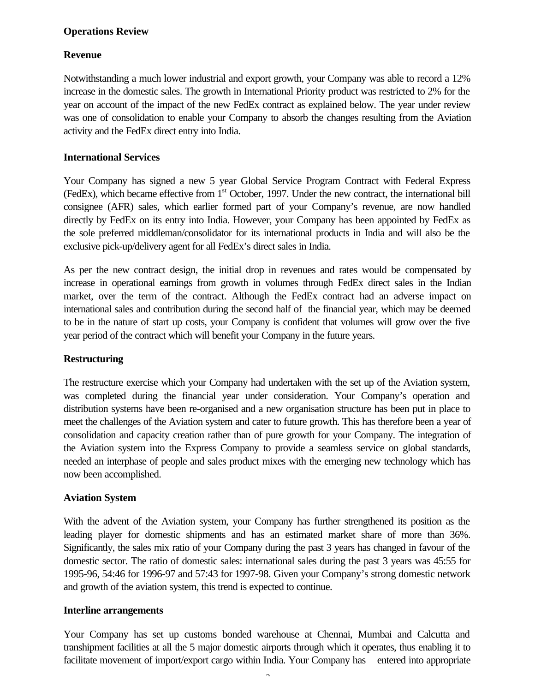# **Operations Review**

## **Revenue**

Notwithstanding a much lower industrial and export growth, your Company was able to record a 12% increase in the domestic sales. The growth in International Priority product was restricted to 2% for the year on account of the impact of the new FedEx contract as explained below. The year under review was one of consolidation to enable your Company to absorb the changes resulting from the Aviation activity and the FedEx direct entry into India.

## **International Services**

Your Company has signed a new 5 year Global Service Program Contract with Federal Express (FedEx), which became effective from 1st October, 1997. Under the new contract, the international bill consignee (AFR) sales, which earlier formed part of your Company's revenue, are now handled directly by FedEx on its entry into India. However, your Company has been appointed by FedEx as the sole preferred middleman/consolidator for its international products in India and will also be the exclusive pick-up/delivery agent for all FedEx's direct sales in India.

As per the new contract design, the initial drop in revenues and rates would be compensated by increase in operational earnings from growth in volumes through FedEx direct sales in the Indian market, over the term of the contract. Although the FedEx contract had an adverse impact on international sales and contribution during the second half of the financial year, which may be deemed to be in the nature of start up costs, your Company is confident that volumes will grow over the five year period of the contract which will benefit your Company in the future years.

## **Restructuring**

The restructure exercise which your Company had undertaken with the set up of the Aviation system, was completed during the financial year under consideration. Your Company's operation and distribution systems have been re-organised and a new organisation structure has been put in place to meet the challenges of the Aviation system and cater to future growth. This has therefore been a year of consolidation and capacity creation rather than of pure growth for your Company. The integration of the Aviation system into the Express Company to provide a seamless service on global standards, needed an interphase of people and sales product mixes with the emerging new technology which has now been accomplished.

## **Aviation System**

With the advent of the Aviation system, your Company has further strengthened its position as the leading player for domestic shipments and has an estimated market share of more than 36%. Significantly, the sales mix ratio of your Company during the past 3 years has changed in favour of the domestic sector. The ratio of domestic sales: international sales during the past 3 years was 45:55 for 1995-96, 54:46 for 1996-97 and 57:43 for 1997-98. Given your Company's strong domestic network and growth of the aviation system, this trend is expected to continue.

## **Interline arrangements**

Your Company has set up customs bonded warehouse at Chennai, Mumbai and Calcutta and transhipment facilities at all the 5 major domestic airports through which it operates, thus enabling it to facilitate movement of import/export cargo within India. Your Company has entered into appropriate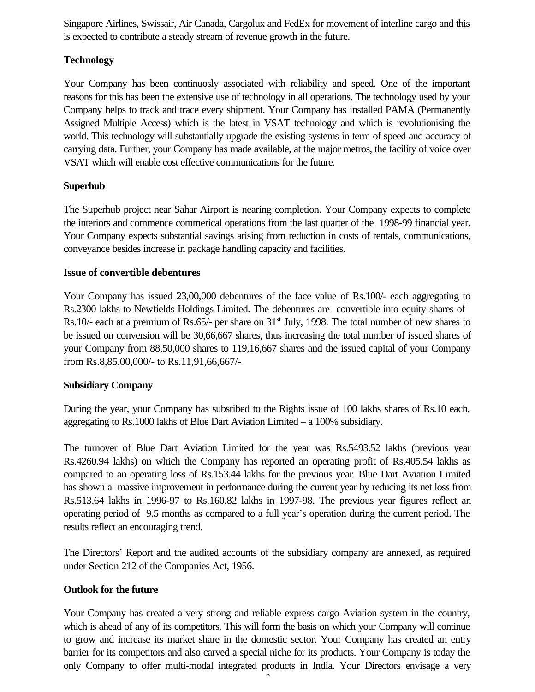Singapore Airlines, Swissair, Air Canada, Cargolux and FedEx for movement of interline cargo and this is expected to contribute a steady stream of revenue growth in the future.

# **Technology**

Your Company has been continuosly associated with reliability and speed. One of the important reasons for this has been the extensive use of technology in all operations. The technology used by your Company helps to track and trace every shipment. Your Company has installed PAMA (Permanently Assigned Multiple Access) which is the latest in VSAT technology and which is revolutionising the world. This technology will substantially upgrade the existing systems in term of speed and accuracy of carrying data. Further, your Company has made available, at the major metros, the facility of voice over VSAT which will enable cost effective communications for the future.

# **Superhub**

The Superhub project near Sahar Airport is nearing completion. Your Company expects to complete the interiors and commence commerical operations from the last quarter of the 1998-99 financial year. Your Company expects substantial savings arising from reduction in costs of rentals, communications, conveyance besides increase in package handling capacity and facilities.

# **Issue of convertible debentures**

Your Company has issued 23,00,000 debentures of the face value of Rs.100/- each aggregating to Rs.2300 lakhs to Newfields Holdings Limited. The debentures are convertible into equity shares of Rs.10/- each at a premium of Rs.65/- per share on  $31<sup>st</sup>$  July, 1998. The total number of new shares to be issued on conversion will be 30,66,667 shares, thus increasing the total number of issued shares of your Company from 88,50,000 shares to 119,16,667 shares and the issued capital of your Company from Rs.8,85,00,000/- to Rs.11,91,66,667/-

# **Subsidiary Company**

During the year, your Company has subsribed to the Rights issue of 100 lakhs shares of Rs.10 each, aggregating to Rs.1000 lakhs of Blue Dart Aviation Limited – a 100% subsidiary.

The turnover of Blue Dart Aviation Limited for the year was Rs.5493.52 lakhs (previous year Rs.4260.94 lakhs) on which the Company has reported an operating profit of Rs,405.54 lakhs as compared to an operating loss of Rs.153.44 lakhs for the previous year. Blue Dart Aviation Limited has shown a massive improvement in performance during the current year by reducing its net loss from Rs.513.64 lakhs in 1996-97 to Rs.160.82 lakhs in 1997-98. The previous year figures reflect an operating period of 9.5 months as compared to a full year's operation during the current period. The results reflect an encouraging trend.

The Directors' Report and the audited accounts of the subsidiary company are annexed, as required under Section 212 of the Companies Act, 1956.

# **Outlook for the future**

Your Company has created a very strong and reliable express cargo Aviation system in the country, which is ahead of any of its competitors. This will form the basis on which your Company will continue to grow and increase its market share in the domestic sector. Your Company has created an entry barrier for its competitors and also carved a special niche for its products. Your Company is today the only Company to offer multi-modal integrated products in India. Your Directors envisage a very

 $\tilde{ }$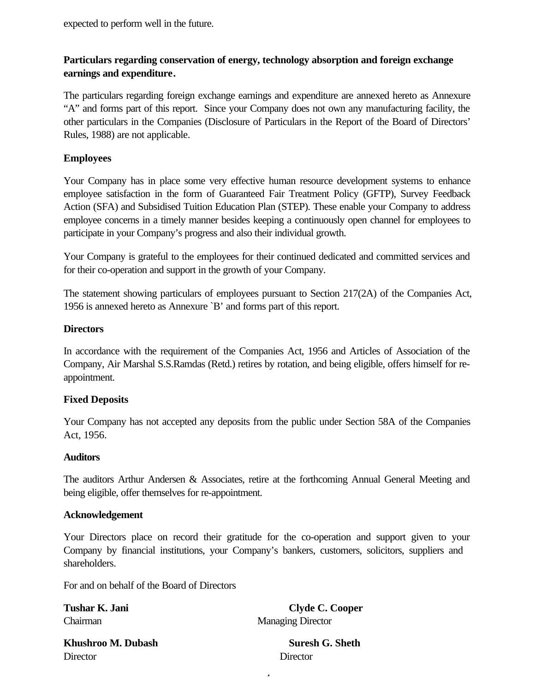expected to perform well in the future.

# **Particulars regarding conservation of energy, technology absorption and foreign exchange earnings and expenditure***.*

The particulars regarding foreign exchange earnings and expenditure are annexed hereto as Annexure "A" and forms part of this report. Since your Company does not own any manufacturing facility, the other particulars in the Companies (Disclosure of Particulars in the Report of the Board of Directors' Rules, 1988) are not applicable.

# **Employees**

Your Company has in place some very effective human resource development systems to enhance employee satisfaction in the form of Guaranteed Fair Treatment Policy (GFTP), Survey Feedback Action (SFA) and Subsidised Tuition Education Plan (STEP). These enable your Company to address employee concerns in a timely manner besides keeping a continuously open channel for employees to participate in your Company's progress and also their individual growth.

Your Company is grateful to the employees for their continued dedicated and committed services and for their co-operation and support in the growth of your Company.

The statement showing particulars of employees pursuant to Section 217(2A) of the Companies Act, 1956 is annexed hereto as Annexure `B' and forms part of this report.

# **Directors**

In accordance with the requirement of the Companies Act, 1956 and Articles of Association of the Company, Air Marshal S.S.Ramdas (Retd.) retires by rotation, and being eligible, offers himself for reappointment.

# **Fixed Deposits**

Your Company has not accepted any deposits from the public under Section 58A of the Companies Act, 1956.

# **Auditors**

The auditors Arthur Andersen & Associates, retire at the forthcoming Annual General Meeting and being eligible, offer themselves for re-appointment.

# **Acknowledgement**

Your Directors place on record their gratitude for the co-operation and support given to your Company by financial institutions, your Company's bankers, customers, solicitors, suppliers and shareholders.

 $\overline{a}$ 

For and on behalf of the Board of Directors

Tushar K. Jani **Clyde C. Cooper** Chairman Managing Director

**Khushroo M. Dubash Suresh G. Sheth** Director Director Director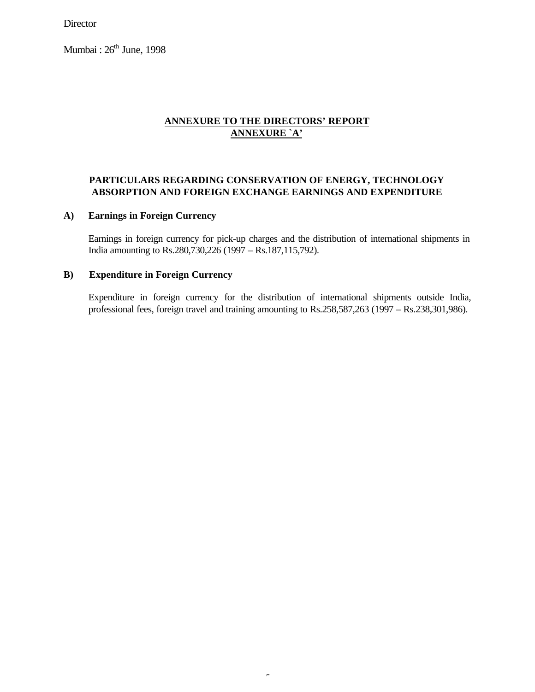**Director** 

Mumbai :  $26<sup>th</sup>$  June, 1998

# **ANNEXURE TO THE DIRECTORS' REPORT ANNEXURE `A'**

## **PARTICULARS REGARDING CONSERVATION OF ENERGY, TECHNOLOGY ABSORPTION AND FOREIGN EXCHANGE EARNINGS AND EXPENDITURE**

### **A) Earnings in Foreign Currency**

Earnings in foreign currency for pick-up charges and the distribution of international shipments in India amounting to Rs.280,730,226 (1997 – Rs.187,115,792).

## **B) Expenditure in Foreign Currency**

Expenditure in foreign currency for the distribution of international shipments outside India, professional fees, foreign travel and training amounting to Rs.258,587,263 (1997 – Rs.238,301,986).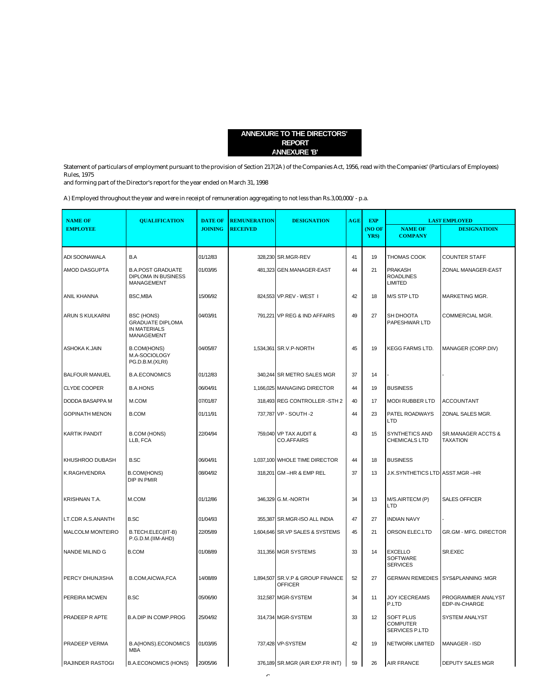#### **ANNEXURE TO THE DIRECTORS' REPORT ANNEXURE 'B'**

Statement of particulars of employment pursuant to the provision of Section 217(2A) of the Companies Act, 1956, read with the Companies' (Particulars of Employees) Rules, 1975

and forming part of the Director's report for the year ended on March 31, 1998

A) Employed throughout the year and were in receipt of remuneration aggregating to not less than Rs.3,00,000/- p.a.

| <b>NAME OF</b>          | <b>QUALIFICATION</b>                                                       | <b>DATE OF</b> | <b>REMUNERATION</b> | <b>DESIGNATION</b>                                 | AGE | <b>EXP</b> |                                                       | <b>LAST EMPLOYED</b>                  |
|-------------------------|----------------------------------------------------------------------------|----------------|---------------------|----------------------------------------------------|-----|------------|-------------------------------------------------------|---------------------------------------|
| <b>EMPLOYEE</b>         |                                                                            | <b>JOINING</b> | <b>RECEIVED</b>     |                                                    |     | (NO OF     | <b>NAME OF</b>                                        | <b>DESIGNATIOIN</b>                   |
|                         |                                                                            |                |                     |                                                    |     | YRS)       | <b>COMPANY</b>                                        |                                       |
| ADI SOONAWALA           | B.A                                                                        | 01/12/83       |                     | 328,230 SR.MGR-REV                                 | 41  | 19         | THOMAS COOK                                           | <b>COUNTER STAFF</b>                  |
| AMOD DASGUPTA           | <b>B.A.POST GRADUATE</b><br><b>DIPLOMA IN BUSINESS</b><br>MANAGEMENT       | 01/03/95       |                     | 481,323 GEN.MANAGER-EAST                           | 44  | 21         | <b>PRAKASH</b><br><b>ROADLINES</b><br><b>LIMITED</b>  | ZONAL MANAGER-EAST                    |
| ANIL KHANNA             | BSC, MBA                                                                   | 15/06/92       |                     | 824,553 VP.REV - WEST I                            | 42  | 18         | <b>M/S STP LTD</b>                                    | MARKETING MGR.                        |
| ARUN S KULKARNI         | BSC (HONS)<br><b>GRADUATE DIPLOMA</b><br>IN MATERIALS<br><b>MANAGEMENT</b> | 04/03/91       |                     | 791,221 VP REG & IND AFFAIRS                       | 49  | 27         | SH DHOOTA<br>PAPESHWAR LTD                            | COMMERCIAL MGR.                       |
| ASHOKA K.JAIN           | <b>B.COM(HONS)</b><br>M.A-SOCIOLOGY<br>PG.D.B.M.(XLRI)                     | 04/05/87       |                     | 1,534,361 SR.V.P-NORTH                             | 45  | 19         | <b>KEGG FARMS LTD.</b>                                | MANAGER (CORP.DIV)                    |
| <b>BALFOUR MANUEL</b>   | <b>B.A.ECONOMICS</b>                                                       | 01/12/83       |                     | 340,244 SR METRO SALES MGR                         | 37  | 14         |                                                       |                                       |
| <b>CLYDE COOPER</b>     | <b>B.A.HONS</b>                                                            | 06/04/91       |                     | 1,166,025 MANAGING DIRECTOR                        | 44  | 19         | <b>BUSINESS</b>                                       |                                       |
| DODDA BASAPPA M         | M.COM                                                                      | 07/01/87       |                     | 318,493 REG CONTROLLER -STH 2                      | 40  | 17         | <b>MODI RUBBER LTD</b>                                | <b>ACCOUNTANT</b>                     |
| <b>GOPINATH MENON</b>   | <b>B.COM</b>                                                               | 01/11/91       |                     | 737,787 VP - SOUTH -2                              | 44  | 23         | PATEL ROADWAYS<br>LTD                                 | ZONAL SALES MGR.                      |
| <b>KARTIK PANDIT</b>    | <b>B.COM (HONS)</b><br>LLB, FCA                                            | 22/04/94       |                     | 759,040 VP TAX AUDIT &<br><b>CO.AFFAIRS</b>        | 43  | 15         | <b>SYNTHETICS AND</b><br>CHEMICALS LTD                | SR.MANAGER ACCTS &<br><b>TAXATION</b> |
| KHUSHROO DUBASH         | <b>B.SC</b>                                                                | 06/04/91       |                     | 1,037,100 WHOLE TIME DIRECTOR                      | 44  | 18         | <b>BUSINESS</b>                                       |                                       |
| K.RAGHVENDRA            | <b>B.COM(HONS)</b><br><b>DIP IN PMIR</b>                                   | 08/04/92       |                     | 318,201 GM -HR & EMP REL                           | 37  | 13         | J.K.SYNTHETICS LTD ASST.MGR-HR                        |                                       |
| KRISHNAN T.A.           | M.COM                                                                      | 01/12/86       |                     | 346.329 G.M.-NORTH                                 | 34  | 13         | M/S.AIRTECM (P)<br>LTD                                | <b>SALES OFFICER</b>                  |
| LT.CDR A.S.ANANTH       | <b>B.SC</b>                                                                | 01/04/93       |                     | 355,387 SR.MGR-ISO ALL INDIA                       | 47  | 27         | <b>INDIAN NAVY</b>                                    |                                       |
| <b>MALCOLM MONTEIRO</b> | B.TECH.ELEC(IIT-B)<br>P.G.D.M.(IIM-AHD)                                    | 22/05/89       |                     | 1,604,646 SR.VP SALES & SYSTEMS                    | 45  | 21         | ORSON ELEC.LTD                                        | <b>GR.GM - MFG. DIRECTOR</b>          |
| NANDE MILIND G          | <b>B.COM</b>                                                               | 01/08/89       |                     | 311,356 MGR SYSTEMS                                | 33  | 14         | <b>EXCELLO</b><br><b>SOFTWARE</b><br><b>SERVICES</b>  | SR.EXEC                               |
| PERCY DHUNJISHA         | B.COM, AICWA, FCA                                                          | 14/08/89       |                     | 1,894,507 SR.V.P & GROUP FINANCE<br><b>OFFICER</b> | 52  | 27         | <b>GERMAN REMEDIES</b>                                | SYS&PLANNING:MGR                      |
| PEREIRA MCWEN           | <b>B.SC</b>                                                                | 05/06/90       |                     | 312,587 MGR-SYSTEM                                 | 34  | 11         | <b>JOY ICECREAMS</b><br>P.LTD                         | PROGRAMMER ANALYST<br>EDP-IN-CHARGE   |
| PRADEEP R APTE          | <b>B.A.DIP IN COMP.PROG</b>                                                | 25/04/92       |                     | 314,734 MGR-SYSTEM                                 | 33  | 12         | <b>SOFT PLUS</b><br><b>COMPUTER</b><br>SERVICES P.LTD | <b>SYSTEM ANALYST</b>                 |
| PRADEEP VERMA           | <b>B.A(HONS).ECONOMICS</b><br><b>MBA</b>                                   | 01/03/95       |                     | 737,428 VP-SYSTEM                                  | 42  | 19         | NETWORK LIMITED                                       | <b>MANAGER - ISD</b>                  |
| <b>RAJINDER RASTOGI</b> | <b>B.A.ECONOMICS (HONS)</b>                                                | 20/05/96       |                     | 376,189 SR.MGR (AIR EXP.FR INT)                    | 59  | 26         | <b>AIR FRANCE</b>                                     | <b>DEPUTY SALES MGR</b>               |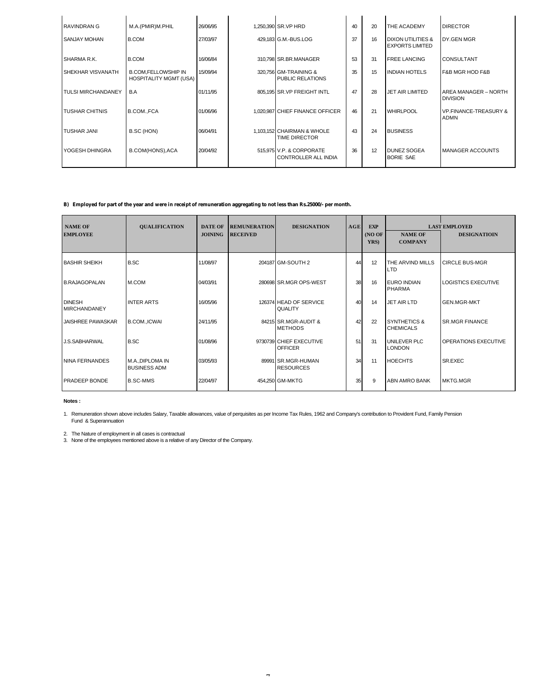| <b>RAVINDRAN G</b>        | M.A.(PMIR)M.PHIL                                            | 26/06/95 | 1,250,390 SR.VP HRD                                     | 40 | 20 | THE ACADEMY                                 | <b>DIRECTOR</b>                                 |
|---------------------------|-------------------------------------------------------------|----------|---------------------------------------------------------|----|----|---------------------------------------------|-------------------------------------------------|
| <b>SANJAY MOHAN</b>       | <b>B.COM</b>                                                | 27/03/97 | 429,183 G.M.-BUS.LOG                                    | 37 | 16 | DIXON UTILITIES &<br><b>EXPORTS LIMITED</b> | DY.GEN MGR                                      |
| SHARMA R.K.               | <b>B.COM</b>                                                | 16/06/84 | 310,798 SR.BR.MANAGER                                   | 53 | 31 | <b>FREE LANCING</b>                         | <b>CONSULTANT</b>                               |
| <b>SHEKHAR VISVANATH</b>  | <b>B.COM,FELLOWSHIP IN</b><br><b>HOSPITALITY MGMT (USA)</b> | 15/09/94 | 320,756 GM-TRAINING &<br>PUBLIC RELATIONS               | 35 | 15 | <b>INDIAN HOTELS</b>                        | F&B MGR HOD F&B                                 |
| <b>TULSI MIRCHANDANEY</b> | B.A                                                         | 01/11/95 | 805,195 SR.VP FREIGHT INTL                              | 47 | 28 | JET AIR LIMITED                             | AREA MANAGER - NORTH<br><b>DIVISION</b>         |
| <b>TUSHAR CHITNIS</b>     | B.COM., FCA                                                 | 01/06/96 | 1,020,987 CHIEF FINANCE OFFICER                         | 46 | 21 | <b>WHIRLPOOL</b>                            | <b>VP.FINANCE-TREASURY &amp;</b><br><b>ADMN</b> |
| <b>TUSHAR JANI</b>        | B.SC (HON)                                                  | 06/04/91 | 1,103,152 CHAIRMAN & WHOLE<br><b>TIME DIRECTOR</b>      | 43 | 24 | <b>BUSINESS</b>                             |                                                 |
| YOGESH DHINGRA            | B.COM(HONS), ACA                                            | 20/04/92 | 515,975 V.P. & CORPORATE<br><b>CONTROLLER ALL INDIA</b> | 36 | 12 | DUNEZ SOGEA<br><b>BORIE SAE</b>             | <b>MANAGER ACCOUNTS</b>                         |

#### **B) Employed for part of the year and were in receipt of remuneration aggregating to not less than Rs.25000/- per month.**

| <b>NAME OF</b><br><b>EMPLOYEE</b>    | <b>QUALIFICATION</b>                    | <b>DATE OF</b><br><b>JOINING</b> | <b>REMUNERATION</b><br><b>RECEIVED</b> | <b>DESIGNATION</b>                        | AGE | <b>EXP</b><br>(NOOF)<br>YRS) | <b>NAME OF</b><br><b>COMPANY</b>            | <b>LAST EMPLOYED</b><br><b>DESIGNATIOIN</b> |
|--------------------------------------|-----------------------------------------|----------------------------------|----------------------------------------|-------------------------------------------|-----|------------------------------|---------------------------------------------|---------------------------------------------|
| <b>BASHIR SHEIKH</b>                 | <b>B.SC</b>                             | 11/08/97                         |                                        | 204187 GM-SOUTH 2                         | 44  | 12                           | THE ARVIND MILLS<br><b>LTD</b>              | <b>CIRCLE BUS-MGR</b>                       |
| B.RAJAGOPALAN                        | M.COM                                   | 04/03/91                         |                                        | 280698 SR.MGR OPS-WEST                    | 38  | 16                           | <b>EURO INDIAN</b><br>PHARMA                | <b>LOGISTICS EXECUTIVE</b>                  |
| <b>DINESH</b><br><b>MIRCHANDANEY</b> | <b>INTER ARTS</b>                       | 16/05/96                         |                                        | 126374 HEAD OF SERVICE<br><b>QUALITY</b>  | 40  | 14                           | <b>JET AIR LTD</b>                          | <b>GEN.MGR-MKT</b>                          |
| <b>JAISHREE PAWASKAR</b>             | <b>B.COM.,ICWAI</b>                     | 24/11/95                         |                                        | 84215 SR.MGR-AUDIT &<br><b>METHODS</b>    | 42  | 22                           | <b>SYNTHETICS &amp;</b><br><b>CHEMICALS</b> | <b>SR.MGR FINANCE</b>                       |
| <b>J.S.SABHARWAL</b>                 | <b>B.SC</b>                             | 01/08/96                         |                                        | 9730739 CHIEF EXECUTIVE<br><b>OFFICER</b> | 51  | 31                           | UNILEVER PLC<br><b>LONDON</b>               | OPERATIONS EXECUTIVE                        |
| <b>NINA FERNANDES</b>                | M.A., DIPLOMA IN<br><b>BUSINESS ADM</b> | 03/05/93                         |                                        | 89991 SR.MGR-HUMAN<br><b>RESOURCES</b>    | 34  | 11                           | <b>HOECHTS</b>                              | SR.EXEC                                     |
| <b>PRADEEP BONDE</b>                 | <b>B.SC-MMS</b>                         | 22/04/97                         |                                        | 454,250 GM-MKTG                           | 35  | 9                            | ABN AMRO BANK                               | <b>MKTG.MGR</b>                             |

**Notes :**

1. Remuneration shown above includes Salary, Taxable allowances, value of perquisites as per Income Tax Rules, 1962 and Company's contribution to Provident Fund, Family Pension Fund & Superannuation

2. The Nature of employment in all cases is contractual 3. None of the employees mentioned above is a relative of any Director of the Company.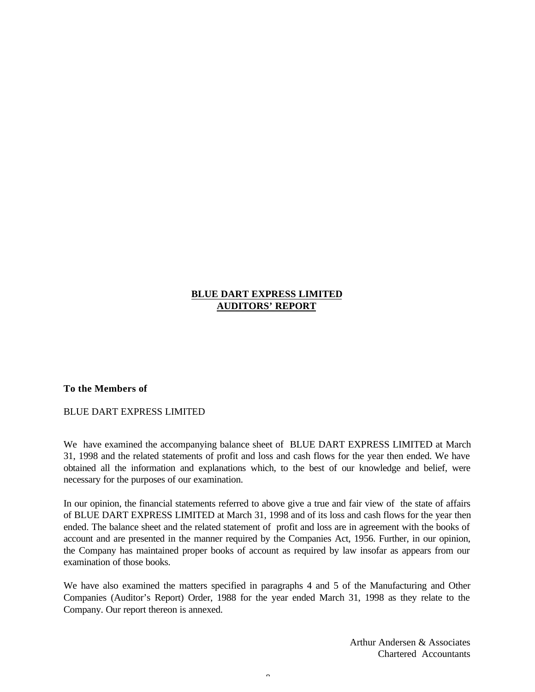## **BLUE DART EXPRESS LIMITED AUDITORS' REPORT**

### **To the Members of**

BLUE DART EXPRESS LIMITED

We have examined the accompanying balance sheet of BLUE DART EXPRESS LIMITED at March 31, 1998 and the related statements of profit and loss and cash flows for the year then ended. We have obtained all the information and explanations which, to the best of our knowledge and belief, were necessary for the purposes of our examination.

In our opinion, the financial statements referred to above give a true and fair view of the state of affairs of BLUE DART EXPRESS LIMITED at March 31, 1998 and of its loss and cash flows for the year then ended. The balance sheet and the related statement of profit and loss are in agreement with the books of account and are presented in the manner required by the Companies Act, 1956. Further, in our opinion, the Company has maintained proper books of account as required by law insofar as appears from our examination of those books.

We have also examined the matters specified in paragraphs 4 and 5 of the Manufacturing and Other Companies (Auditor's Report) Order, 1988 for the year ended March 31, 1998 as they relate to the Company. Our report thereon is annexed.

 $\alpha$ 

Arthur Andersen & Associates Chartered Accountants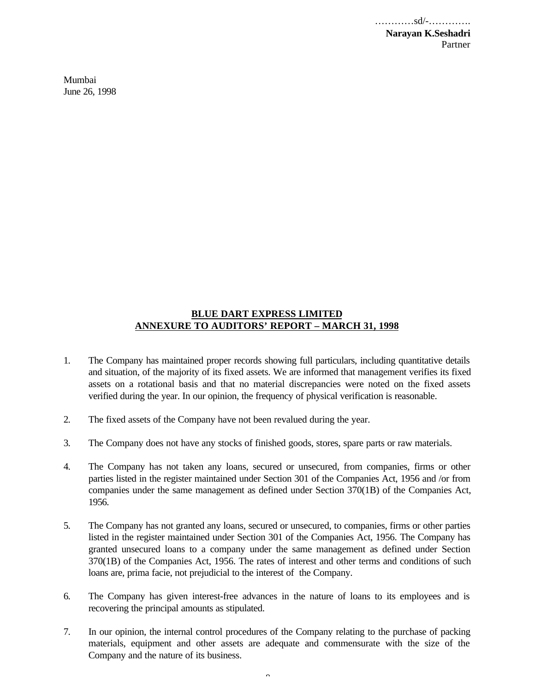…………sd/-…………. **Narayan K.Seshadri** Partner

Mumbai June 26, 1998

### **BLUE DART EXPRESS LIMITED ANNEXURE TO AUDITORS' REPORT – MARCH 31, 1998**

- 1. The Company has maintained proper records showing full particulars, including quantitative details and situation, of the majority of its fixed assets. We are informed that management verifies its fixed assets on a rotational basis and that no material discrepancies were noted on the fixed assets verified during the year. In our opinion, the frequency of physical verification is reasonable.
- 2. The fixed assets of the Company have not been revalued during the year.
- 3. The Company does not have any stocks of finished goods, stores, spare parts or raw materials.
- 4. The Company has not taken any loans, secured or unsecured, from companies, firms or other parties listed in the register maintained under Section 301 of the Companies Act, 1956 and /or from companies under the same management as defined under Section 370(1B) of the Companies Act, 1956.
- 5. The Company has not granted any loans, secured or unsecured, to companies, firms or other parties listed in the register maintained under Section 301 of the Companies Act, 1956. The Company has granted unsecured loans to a company under the same management as defined under Section 370(1B) of the Companies Act, 1956. The rates of interest and other terms and conditions of such loans are, prima facie, not prejudicial to the interest of the Company.
- 6. The Company has given interest-free advances in the nature of loans to its employees and is recovering the principal amounts as stipulated.
- 7. In our opinion, the internal control procedures of the Company relating to the purchase of packing materials, equipment and other assets are adequate and commensurate with the size of the Company and the nature of its business.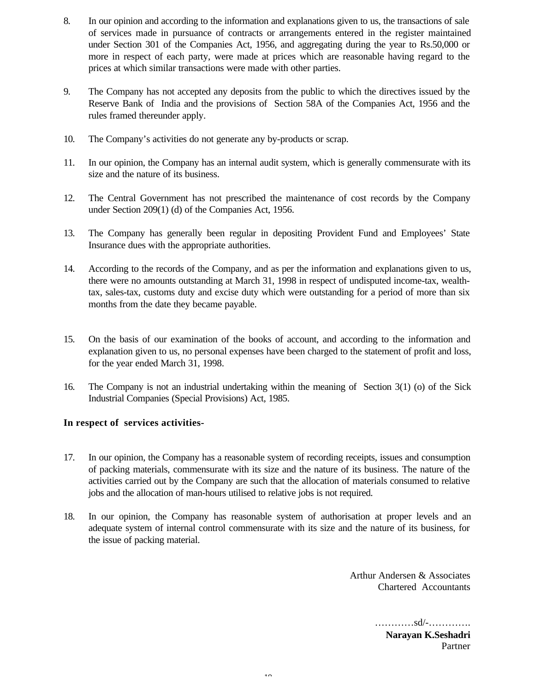- 8. In our opinion and according to the information and explanations given to us, the transactions of sale of services made in pursuance of contracts or arrangements entered in the register maintained under Section 301 of the Companies Act, 1956, and aggregating during the year to Rs.50,000 or more in respect of each party, were made at prices which are reasonable having regard to the prices at which similar transactions were made with other parties.
- 9. The Company has not accepted any deposits from the public to which the directives issued by the Reserve Bank of India and the provisions of Section 58A of the Companies Act, 1956 and the rules framed thereunder apply.
- 10. The Company's activities do not generate any by-products or scrap.
- 11. In our opinion, the Company has an internal audit system, which is generally commensurate with its size and the nature of its business.
- 12. The Central Government has not prescribed the maintenance of cost records by the Company under Section 209(1) (d) of the Companies Act, 1956.
- 13. The Company has generally been regular in depositing Provident Fund and Employees' State Insurance dues with the appropriate authorities.
- 14. According to the records of the Company, and as per the information and explanations given to us, there were no amounts outstanding at March 31, 1998 in respect of undisputed income-tax, wealthtax, sales-tax, customs duty and excise duty which were outstanding for a period of more than six months from the date they became payable.
- 15. On the basis of our examination of the books of account, and according to the information and explanation given to us, no personal expenses have been charged to the statement of profit and loss, for the year ended March 31, 1998.
- 16. The Company is not an industrial undertaking within the meaning of Section 3(1) (o) of the Sick Industrial Companies (Special Provisions) Act, 1985.

## **In respect of services activities-**

- 17. In our opinion, the Company has a reasonable system of recording receipts, issues and consumption of packing materials, commensurate with its size and the nature of its business. The nature of the activities carried out by the Company are such that the allocation of materials consumed to relative jobs and the allocation of man-hours utilised to relative jobs is not required.
- 18. In our opinion, the Company has reasonable system of authorisation at proper levels and an adequate system of internal control commensurate with its size and the nature of its business, for the issue of packing material.

Arthur Andersen & Associates Chartered Accountants

> …………sd/-…………. **Narayan K.Seshadri** Partner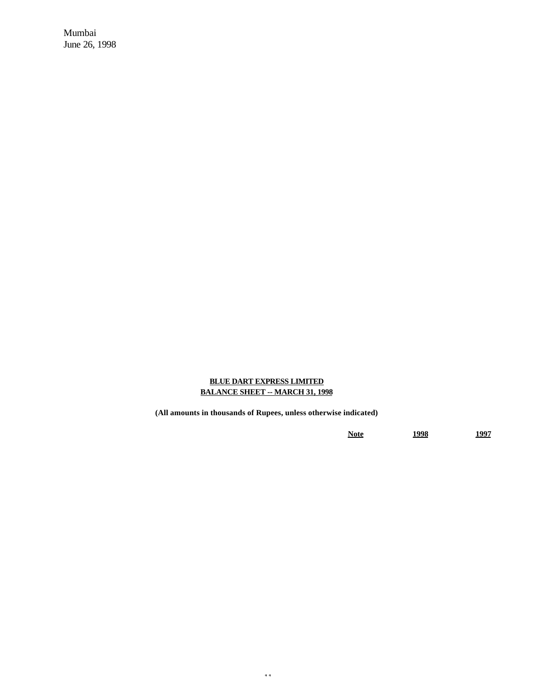Mumbai June 26, 1998

### **BLUE DART EXPRESS LIMITED BALANCE SHEET -- MARCH 31, 1998**

**(All amounts in thousands of Rupees, unless otherwise indicated)**

**Note 1998 1997**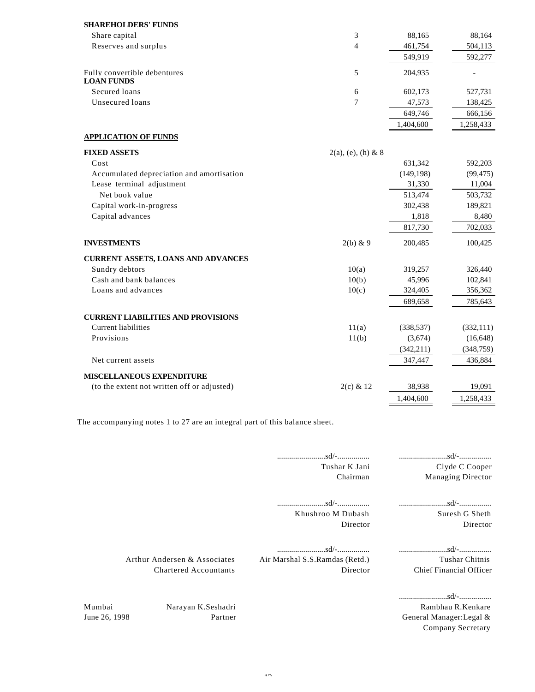| <b>SHAREHOLDERS' FUNDS</b>                        |                       |            |            |
|---------------------------------------------------|-----------------------|------------|------------|
| Share capital                                     | 3                     | 88,165     | 88,164     |
| Reserves and surplus                              | $\overline{4}$        | 461,754    | 504,113    |
|                                                   |                       | 549,919    | 592,277    |
| Fully convertible debentures<br><b>LOAN FUNDS</b> | 5                     | 204.935    |            |
| Secured loans                                     | 6                     | 602,173    | 527,731    |
| Unsecured loans                                   | 7                     | 47,573     | 138,425    |
|                                                   |                       | 649,746    | 666,156    |
|                                                   |                       | 1,404,600  | 1,258,433  |
| <b>APPLICATION OF FUNDS</b>                       |                       |            |            |
| <b>FIXED ASSETS</b>                               | $2(a)$ , (e), (h) & 8 |            |            |
| Cost                                              |                       | 631,342    | 592,203    |
| Accumulated depreciation and amortisation         |                       | (149, 198) | (99, 475)  |
| Lease terminal adjustment                         |                       | 31,330     | 11,004     |
| Net book value                                    |                       | 513,474    | 503,732    |
| Capital work-in-progress                          |                       | 302,438    | 189,821    |
| Capital advances                                  |                       | 1,818      | 8,480      |
|                                                   |                       | 817,730    | 702,033    |
| <b>INVESTMENTS</b>                                | $2(b)$ & 9            | 200,485    | 100,425    |
| <b>CURRENT ASSETS, LOANS AND ADVANCES</b>         |                       |            |            |
| Sundry debtors                                    | 10(a)                 | 319,257    | 326,440    |
| Cash and bank balances                            | 10(b)                 | 45,996     | 102,841    |
| Loans and advances                                | 10(c)                 | 324,405    | 356,362    |
|                                                   |                       | 689,658    | 785,643    |
| <b>CURRENT LIABILITIES AND PROVISIONS</b>         |                       |            |            |
| <b>Current liabilities</b>                        | 11(a)                 | (338, 537) | (332, 111) |
| Provisions                                        | 11(b)                 | (3,674)    | (16, 648)  |
|                                                   |                       | (342, 211) | (348, 759) |
| Net current assets                                |                       | 347,447    | 436,884    |
| <b>MISCELLANEOUS EXPENDITURE</b>                  |                       |            |            |
| (to the extent not written off or adjusted)       | $2(c)$ & 12           | 38,938     | 19,091     |
|                                                   |                       | 1,404,600  | 1,258,433  |

The accompanying notes 1 to 27 are an integral part of this balance sheet.

|                         |                                                              | $\ldots \ldots \ldots \ldots \ldots \ldots$<br>Tushar K Jani<br>Chairman                         | Clyde C Cooper<br><b>Managing Director</b>                                                                               |
|-------------------------|--------------------------------------------------------------|--------------------------------------------------------------------------------------------------|--------------------------------------------------------------------------------------------------------------------------|
|                         |                                                              | Khushroo M Dubash<br>Director                                                                    | Suresh G Sheth<br>Director                                                                                               |
|                         | Arthur Andersen & Associates<br><b>Chartered Accountants</b> | $\ldots \ldots \ldots \ldots \ldots \ldots \ldots$<br>Air Marshal S.S.Ramdas (Retd.)<br>Director | Tushar Chitnis<br><b>Chief Financial Officer</b>                                                                         |
| Mumbai<br>June 26, 1998 | Narayan K.Seshadri<br>Partner                                |                                                                                                  | $\ldots \ldots \ldots \ldots \ldots \ldots$ sd/- $\ldots \ldots \ldots$<br>Rambhau R.Kenkare<br>General Manager: Legal & |

Company Secretary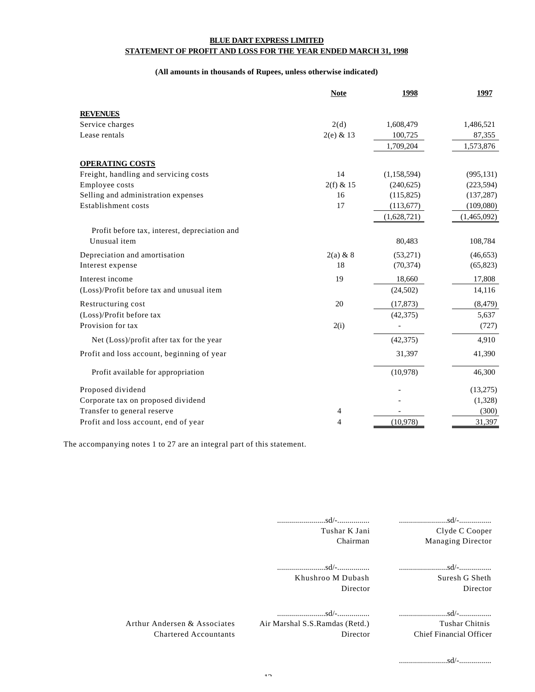#### **BLUE DART EXPRESS LIMITED STATEMENT OF PROFIT AND LOSS FOR THE YEAR ENDED MARCH 31, 1998**

#### **(All amounts in thousands of Rupees, unless otherwise indicated)**

|                                               | <b>Note</b> | 1998        | 1997        |
|-----------------------------------------------|-------------|-------------|-------------|
| <b>REVENUES</b>                               |             |             |             |
| Service charges                               | 2(d)        | 1,608,479   | 1,486,521   |
| Lease rentals                                 | $2(e)$ & 13 | 100,725     | 87,355      |
|                                               |             | 1,709,204   | 1,573,876   |
| <b>OPERATING COSTS</b>                        |             |             |             |
| Freight, handling and servicing costs         | 14          | (1,158,594) | (995, 131)  |
| Employee costs                                | $2(f)$ & 15 | (240, 625)  | (223, 594)  |
| Selling and administration expenses           | 16          | (115,825)   | (137, 287)  |
| Establishment costs                           | 17          | (113, 677)  | (109,080)   |
|                                               |             | (1,628,721) | (1,465,092) |
| Profit before tax, interest, depreciation and |             |             |             |
| Unusual item                                  |             | 80,483      | 108,784     |
| Depreciation and amortisation                 | $2(a)$ & 8  | (53,271)    | (46, 653)   |
| Interest expense                              | 18          | (70, 374)   | (65, 823)   |
| Interest income                               | 19          | 18,660      | 17,808      |
| (Loss)/Profit before tax and unusual item     |             | (24, 502)   | 14,116      |
| Restructuring cost                            | 20          | (17, 873)   | (8, 479)    |
| (Loss)/Profit before tax                      |             | (42, 375)   | 5,637       |
| Provision for tax                             | 2(i)        |             | (727)       |
| Net (Loss)/profit after tax for the year      |             | (42, 375)   | 4,910       |
| Profit and loss account, beginning of year    |             | 31,397      | 41,390      |
| Profit available for appropriation            |             | (10,978)    | 46,300      |
| Proposed dividend                             |             |             | (13,275)    |
| Corporate tax on proposed dividend            |             |             | (1,328)     |
| Transfer to general reserve                   | 4           |             | (300)       |
| Profit and loss account, end of year          | 4           | (10,978)    | 31,397      |

The accompanying notes 1 to 27 are an integral part of this statement.

|                                                              | $\ldots \ldots \ldots \ldots \ldots \ldots \ldots$<br>Tushar K Jani<br>Chairman | Clyde C Cooper<br><b>Managing Director</b>       |
|--------------------------------------------------------------|---------------------------------------------------------------------------------|--------------------------------------------------|
|                                                              | Khushroo M Dubash<br>Director                                                   | Suresh G Sheth<br>Director                       |
| Arthur Andersen & Associates<br><b>Chartered Accountants</b> | Air Marshal S.S. Ramdas (Retd.)<br>Director                                     | Tushar Chitnis<br><b>Chief Financial Officer</b> |
|                                                              |                                                                                 |                                                  |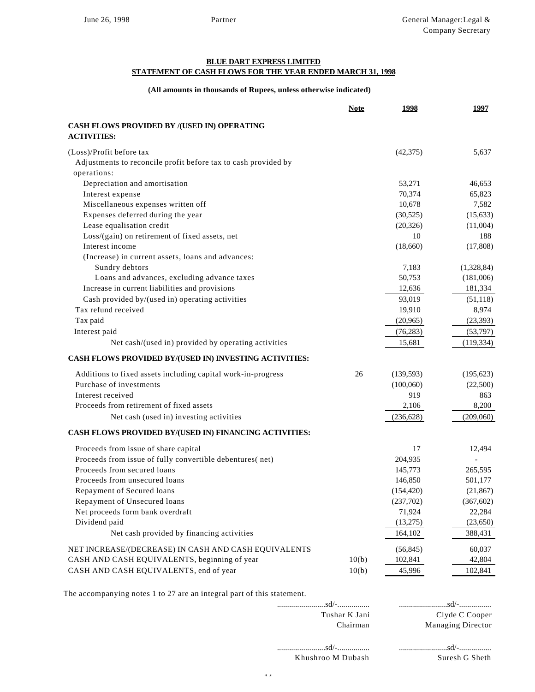#### **BLUE DART EXPRESS LIMITED**

### **STATEMENT OF CASH FLOWS FOR THE YEAR ENDED MARCH 31, 1998**

#### **(All amounts in thousands of Rupees, unless otherwise indicated)**

|                                                                | <b>Note</b> | 1998       | 1997           |
|----------------------------------------------------------------|-------------|------------|----------------|
| CASH FLOWS PROVIDED BY /(USED IN) OPERATING                    |             |            |                |
| <b>ACTIVITIES:</b>                                             |             |            |                |
| (Loss)/Profit before tax                                       |             | (42, 375)  | 5,637          |
| Adjustments to reconcile profit before tax to cash provided by |             |            |                |
| operations:                                                    |             |            |                |
| Depreciation and amortisation                                  |             | 53,271     | 46,653         |
| Interest expense                                               |             | 70,374     | 65,823         |
| Miscellaneous expenses written off                             |             | 10,678     | 7,582          |
| Expenses deferred during the year                              |             | (30,525)   | (15, 633)      |
| Lease equalisation credit                                      |             | (20, 326)  | (11,004)       |
| Loss/(gain) on retirement of fixed assets, net                 |             | 10         | 188            |
| Interest income                                                |             | (18,660)   | (17,808)       |
| (Increase) in current assets, loans and advances:              |             |            |                |
| Sundry debtors                                                 |             | 7,183      | (1,328,84)     |
| Loans and advances, excluding advance taxes                    |             | 50,753     | (181,006)      |
| Increase in current liabilities and provisions                 |             | 12,636     | 181,334        |
| Cash provided by/(used in) operating activities                |             | 93,019     | (51, 118)      |
| Tax refund received                                            |             | 19,910     | 8,974          |
| Tax paid                                                       |             | (20, 965)  | (23, 393)      |
| Interest paid                                                  |             | (76, 283)  | (53,797)       |
| Net cash/(used in) provided by operating activities            |             | 15,681     | (119, 334)     |
| CASH FLOWS PROVIDED BY/(USED IN) INVESTING ACTIVITIES:         |             |            |                |
| Additions to fixed assets including capital work-in-progress   | 26          | (139, 593) | (195, 623)     |
| Purchase of investments                                        |             | (100,060)  | (22,500)       |
| Interest received                                              |             | 919        | 863            |
| Proceeds from retirement of fixed assets                       |             | 2,106      | 8,200          |
| Net cash (used in) investing activities                        |             | (236, 628) | (209,060)      |
| CASH FLOWS PROVIDED BY/(USED IN) FINANCING ACTIVITIES:         |             |            |                |
| Proceeds from issue of share capital                           |             | 17         | 12,494         |
| Proceeds from issue of fully convertible debentures(net)       |             | 204,935    | $\overline{a}$ |
| Proceeds from secured loans                                    |             | 145,773    | 265,595        |
| Proceeds from unsecured loans                                  |             | 146,850    | 501,177        |
| Repayment of Secured loans                                     |             | (154, 420) | (21, 867)      |
| Repayment of Unsecured loans                                   |             | (237,702)  | (367, 602)     |
| Net proceeds form bank overdraft                               |             | 71,924     | 22,284         |
| Dividend paid                                                  |             | (13,275)   | (23, 650)      |
| Net cash provided by financing activities                      |             | 164,102    | 388,431        |
| NET INCREASE/(DECREASE) IN CASH AND CASH EQUIVALENTS           |             | (56, 845)  | 60,037         |
| CASH AND CASH EQUIVALENTS, beginning of year                   | 10(b)       | 102,841    | 42,804         |
| CASH AND CASH EQUIVALENTS, end of year                         | 10(b)       | 45,996     | 102,841        |

The accompanying notes 1 to 27 are an integral part of this statement.

| The accompanying notes T to $27$ are an integral part of this statement. |                   |                          |
|--------------------------------------------------------------------------|-------------------|--------------------------|
|                                                                          |                   |                          |
|                                                                          | Tushar K Jani     | Clyde C Cooper           |
|                                                                          | Chairman          | <b>Managing Director</b> |
|                                                                          | sd/-              |                          |
|                                                                          | Khushroo M Dubash | Suresh G Sheth           |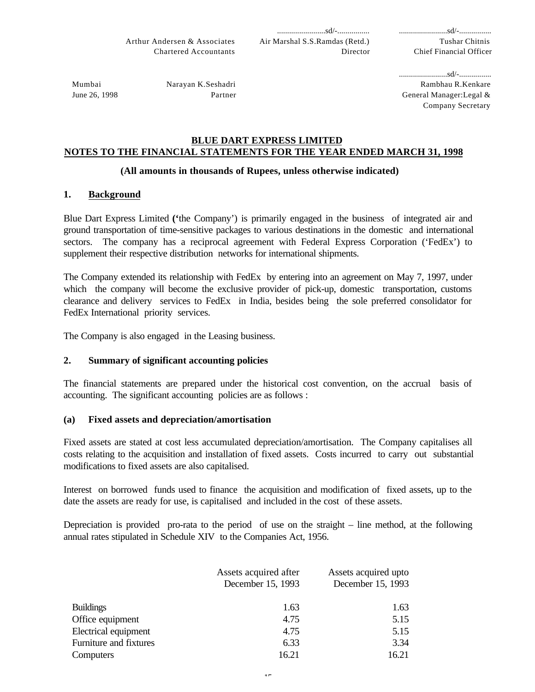Tushar Chitnis Chief Financial Officer

Mumbai June 26, 1998 Narayan K.Seshadri Partner ........................sd/-................ Rambhau R.Kenkare General Manager:Legal & Company Secretary

## **BLUE DART EXPRESS LIMITED NOTES TO THE FINANCIAL STATEMENTS FOR THE YEAR ENDED MARCH 31, 1998**

## **(All amounts in thousands of Rupees, unless otherwise indicated)**

# **1. Background**

Blue Dart Express Limited **('**the Company') is primarily engaged in the business of integrated air and ground transportation of time-sensitive packages to various destinations in the domestic and international sectors. The company has a reciprocal agreement with Federal Express Corporation ('FedEx') to supplement their respective distribution networks for international shipments.

The Company extended its relationship with FedEx by entering into an agreement on May 7, 1997, under which the company will become the exclusive provider of pick-up, domestic transportation, customs clearance and delivery services to FedEx in India, besides being the sole preferred consolidator for FedEx International priority services.

The Company is also engaged in the Leasing business.

## **2. Summary of significant accounting policies**

The financial statements are prepared under the historical cost convention, on the accrual basis of accounting. The significant accounting policies are as follows :

## **(a) Fixed assets and depreciation/amortisation**

Fixed assets are stated at cost less accumulated depreciation/amortisation. The Company capitalises all costs relating to the acquisition and installation of fixed assets. Costs incurred to carry out substantial modifications to fixed assets are also capitalised.

Interest on borrowed funds used to finance the acquisition and modification of fixed assets, up to the date the assets are ready for use, is capitalised and included in the cost of these assets.

Depreciation is provided pro-rata to the period of use on the straight – line method, at the following annual rates stipulated in Schedule XIV to the Companies Act, 1956.

|                        | Assets acquired after | Assets acquired upto |
|------------------------|-----------------------|----------------------|
|                        | December 15, 1993     | December 15, 1993    |
|                        |                       |                      |
| <b>Buildings</b>       | 1.63                  | 1.63                 |
| Office equipment       | 4.75                  | 5.15                 |
| Electrical equipment   | 4.75                  | 5.15                 |
| Furniture and fixtures | 6.33                  | 3.34                 |
| Computers              | 16.21                 | 16.21                |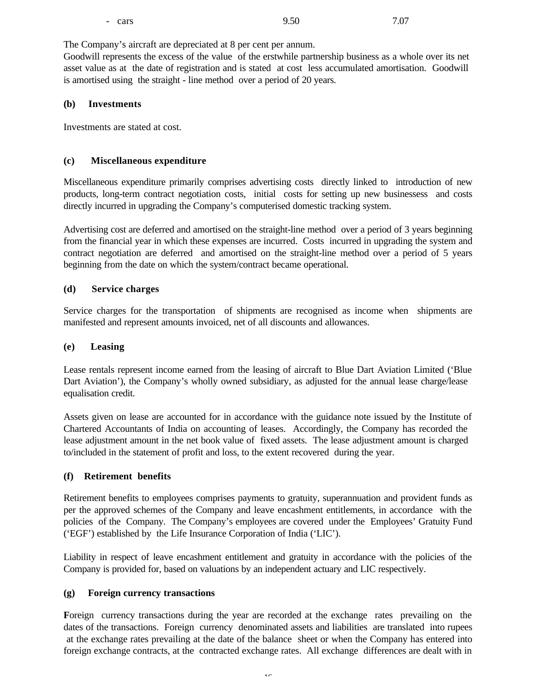The Company's aircraft are depreciated at 8 per cent per annum.

Goodwill represents the excess of the value of the erstwhile partnership business as a whole over its net asset value as at the date of registration and is stated at cost less accumulated amortisation. Goodwill is amortised using the straight - line method over a period of 20 years.

### **(b) Investments**

Investments are stated at cost.

### **(c) Miscellaneous expenditure**

Miscellaneous expenditure primarily comprises advertising costs directly linked to introduction of new products, long-term contract negotiation costs, initial costs for setting up new businessess and costs directly incurred in upgrading the Company's computerised domestic tracking system.

Advertising cost are deferred and amortised on the straight-line method over a period of 3 years beginning from the financial year in which these expenses are incurred. Costs incurred in upgrading the system and contract negotiation are deferred and amortised on the straight-line method over a period of 5 years beginning from the date on which the system/contract became operational.

### **(d) Service charges**

Service charges for the transportation of shipments are recognised as income when shipments are manifested and represent amounts invoiced, net of all discounts and allowances.

### **(e) Leasing**

Lease rentals represent income earned from the leasing of aircraft to Blue Dart Aviation Limited ('Blue Dart Aviation'), the Company's wholly owned subsidiary, as adjusted for the annual lease charge/lease equalisation credit.

Assets given on lease are accounted for in accordance with the guidance note issued by the Institute of Chartered Accountants of India on accounting of leases. Accordingly, the Company has recorded the lease adjustment amount in the net book value of fixed assets. The lease adjustment amount is charged to/included in the statement of profit and loss, to the extent recovered during the year.

## **(f) Retirement benefits**

Retirement benefits to employees comprises payments to gratuity, superannuation and provident funds as per the approved schemes of the Company and leave encashment entitlements, in accordance with the policies of the Company. The Company's employees are covered under the Employees' Gratuity Fund ('EGF') established by the Life Insurance Corporation of India ('LIC').

Liability in respect of leave encashment entitlement and gratuity in accordance with the policies of the Company is provided for, based on valuations by an independent actuary and LIC respectively.

### **(g) Foreign currency transactions**

**F**oreign currency transactions during the year are recorded at the exchange rates prevailing on the dates of the transactions. Foreign currency denominated assets and liabilities are translated into rupees at the exchange rates prevailing at the date of the balance sheet or when the Company has entered into foreign exchange contracts, at the contracted exchange rates. All exchange differences are dealt with in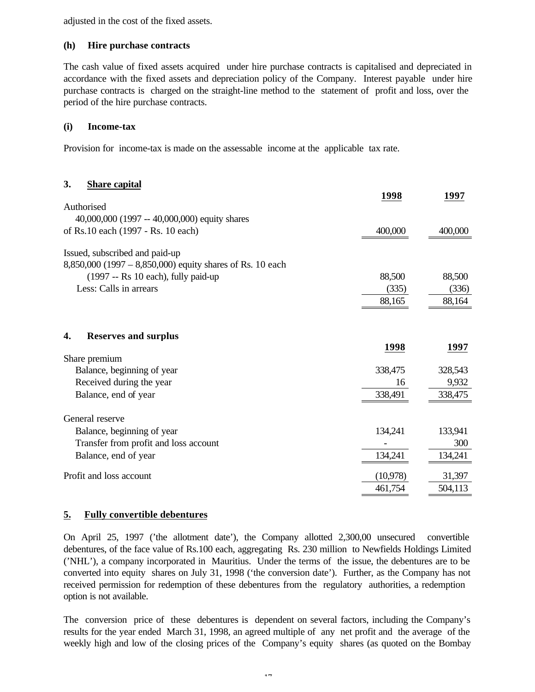adjusted in the cost of the fixed assets.

### **(h) Hire purchase contracts**

The cash value of fixed assets acquired under hire purchase contracts is capitalised and depreciated in accordance with the fixed assets and depreciation policy of the Company. Interest payable under hire purchase contracts is charged on the straight-line method to the statement of profit and loss, over the period of the hire purchase contracts.

### **(i) Income-tax**

Provision for income-tax is made on the assessable income at the applicable tax rate.

### **3. Share capital**

|                                                               | 1998     | 1997           |
|---------------------------------------------------------------|----------|----------------|
| Authorised                                                    |          |                |
| 40,000,000 (1997 -- 40,000,000) equity shares                 |          |                |
| of Rs.10 each (1997 - Rs. 10 each)                            | 400,000  | 400,000        |
| Issued, subscribed and paid-up                                |          |                |
| 8,850,000 (1997 – 8,850,000) equity shares of Rs. 10 each     |          |                |
| $(1997 - Rs 10 each)$ , fully paid-up                         | 88,500   | 88,500         |
| Less: Calls in arrears                                        | (335)    | (336)          |
|                                                               | 88,165   | 88,164         |
|                                                               |          |                |
| <b>Reserves and surplus</b><br>4.                             |          |                |
|                                                               | 1998     | 1997           |
| Share premium                                                 |          |                |
| Balance, beginning of year                                    | 338,475  | 328,543        |
| Received during the year                                      | 16       | 9,932          |
|                                                               |          |                |
| Balance, end of year                                          | 338,491  | 338,475        |
| General reserve                                               |          |                |
|                                                               |          |                |
| Balance, beginning of year                                    | 134,241  | 133,941        |
| Transfer from profit and loss account<br>Balance, end of year | 134,241  | 300<br>134,241 |
| Profit and loss account                                       | (10,978) | 31,397         |

## **5. Fully convertible debentures**

On April 25, 1997 ('the allotment date'), the Company allotted 2,300,00 unsecured convertible debentures, of the face value of Rs.100 each, aggregating Rs. 230 million to Newfields Holdings Limited ('NHL'), a company incorporated in Mauritius. Under the terms of the issue, the debentures are to be converted into equity shares on July 31, 1998 ('the conversion date'). Further, as the Company has not received permission for redemption of these debentures from the regulatory authorities, a redemption option is not available.

The conversion price of these debentures is dependent on several factors, including the Company's results for the year ended March 31, 1998, an agreed multiple of any net profit and the average of the weekly high and low of the closing prices of the Company's equity shares (as quoted on the Bombay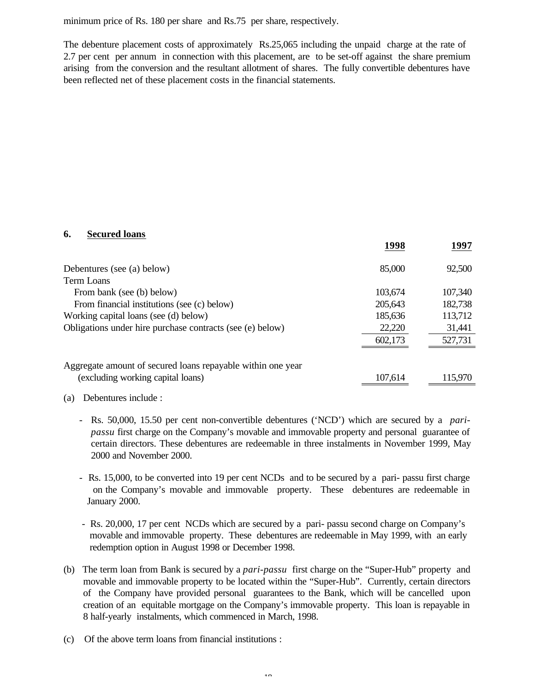minimum price of Rs. 180 per share and Rs.75 per share, respectively.

The debenture placement costs of approximately Rs.25,065 including the unpaid charge at the rate of 2.7 per cent per annum in connection with this placement, are to be set-off against the share premium arising from the conversion and the resultant allotment of shares. The fully convertible debentures have been reflected net of these placement costs in the financial statements.

### **6. Secured loans**

|                                                             | 1998    | 1997    |
|-------------------------------------------------------------|---------|---------|
| Debentures (see (a) below)                                  | 85,000  | 92,500  |
| Term Loans                                                  |         |         |
| From bank (see (b) below)                                   | 103,674 | 107,340 |
| From financial institutions (see (c) below)                 | 205,643 | 182,738 |
| Working capital loans (see (d) below)                       | 185,636 | 113,712 |
| Obligations under hire purchase contracts (see (e) below)   | 22,220  | 31,441  |
|                                                             | 602,173 | 527,731 |
|                                                             |         |         |
| Aggregate amount of secured loans repayable within one year |         |         |
| (excluding working capital loans)                           | 107,614 | 115,970 |

### (a) Debentures include :

- Rs. 50,000, 15.50 per cent non-convertible debentures ('NCD') which are secured by a *paripassu* first charge on the Company's movable and immovable property and personal guarantee of certain directors. These debentures are redeemable in three instalments in November 1999, May 2000 and November 2000.
- Rs. 15,000, to be converted into 19 per cent NCDs and to be secured by a pari- passu first charge on the Company's movable and immovable property. These debentures are redeemable in January 2000.
- Rs. 20,000, 17 per cent NCDs which are secured by a pari- passu second charge on Company's movable and immovable property. These debentures are redeemable in May 1999, with an early redemption option in August 1998 or December 1998.
- (b) The term loan from Bank is secured by a *pari-passu* first charge on the "Super-Hub" property and movable and immovable property to be located within the "Super-Hub". Currently, certain directors of the Company have provided personal guarantees to the Bank, which will be cancelled upon creation of an equitable mortgage on the Company's immovable property. This loan is repayable in 8 half-yearly instalments, which commenced in March, 1998.
- (c) Of the above term loans from financial institutions :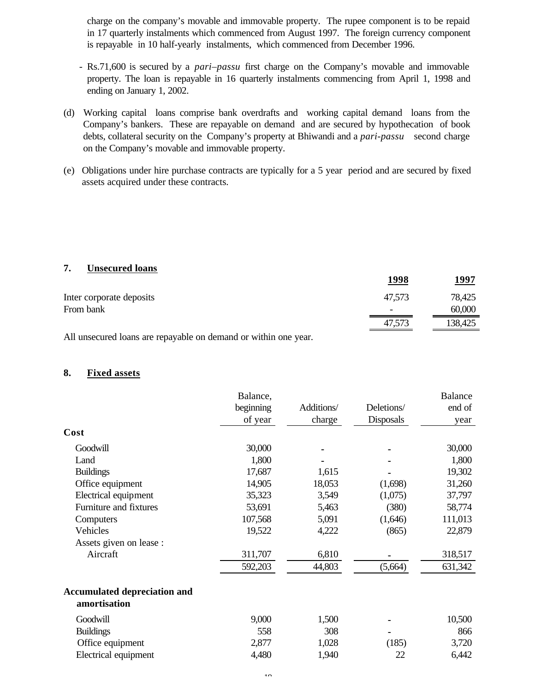charge on the company's movable and immovable property. The rupee component is to be repaid in 17 quarterly instalments which commenced from August 1997. The foreign currency component is repayable in 10 half-yearly instalments, which commenced from December 1996.

- Rs.71,600 is secured by a *pari–passu* first charge on the Company's movable and immovable property. The loan is repayable in 16 quarterly instalments commencing from April 1, 1998 and ending on January 1, 2002.
- (d) Working capital loans comprise bank overdrafts and working capital demand loans from the Company's bankers. These are repayable on demand and are secured by hypothecation of book debts, collateral security on the Company's property at Bhiwandi and a *pari-passu* second charge on the Company's movable and immovable property.
- (e) Obligations under hire purchase contracts are typically for a 5 year period and are secured by fixed assets acquired under these contracts.

#### **7. Unsecured loans**

|                          | 1998   | 1997    |
|--------------------------|--------|---------|
| Inter corporate deposits | 47,573 | 78,425  |
| From bank                |        | 60,000  |
|                          | 47,573 | 138,425 |

All unsecured loans are repayable on demand or within one year.

### **8. Fixed assets**

|                                                     | Balance,  |            |            | <b>Balance</b> |
|-----------------------------------------------------|-----------|------------|------------|----------------|
|                                                     | beginning | Additions/ | Deletions/ | end of         |
|                                                     | of year   | charge     | Disposals  | year           |
| Cost                                                |           |            |            |                |
| Goodwill                                            | 30,000    |            |            | 30,000         |
| Land                                                | 1,800     |            |            | 1,800          |
| <b>Buildings</b>                                    | 17,687    | 1,615      |            | 19,302         |
| Office equipment                                    | 14,905    | 18,053     | (1,698)    | 31,260         |
| Electrical equipment                                | 35,323    | 3,549      | (1,075)    | 37,797         |
| Furniture and fixtures                              | 53,691    | 5,463      | (380)      | 58,774         |
| Computers                                           | 107,568   | 5,091      | (1,646)    | 111,013        |
| Vehicles                                            | 19,522    | 4,222      | (865)      | 22,879         |
| Assets given on lease :                             |           |            |            |                |
| Aircraft                                            | 311,707   | 6,810      |            | 318,517        |
|                                                     | 592,203   | 44,803     | (5,664)    | 631,342        |
| <b>Accumulated depreciation and</b><br>amortisation |           |            |            |                |
| Goodwill                                            | 9,000     | 1,500      |            | 10,500         |
| <b>Buildings</b>                                    | 558       | 308        |            | 866            |
| Office equipment                                    | 2,877     | 1,028      | (185)      | 3,720          |
| Electrical equipment                                | 4,480     | 1,940      | 22         | 6,442          |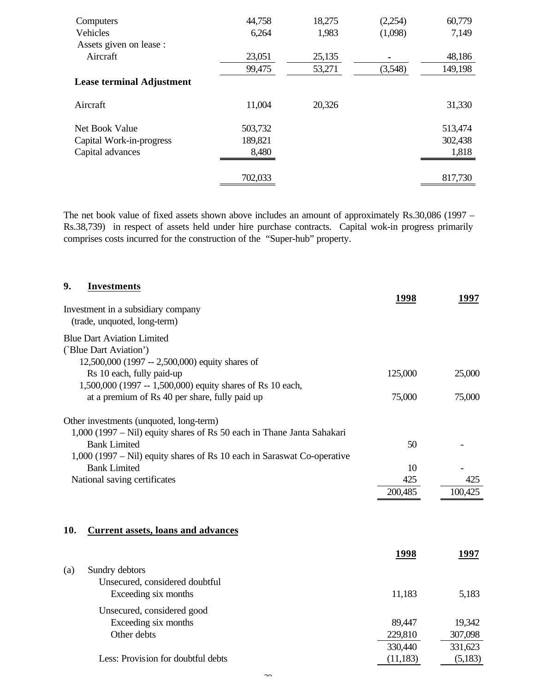| Computers                 | 44,758  | 18,275 | (2,254) | 60,779  |
|---------------------------|---------|--------|---------|---------|
| Vehicles                  | 6,264   | 1,983  | (1,098) | 7,149   |
| Assets given on lease :   |         |        |         |         |
| Aircraft                  | 23,051  | 25,135 |         | 48,186  |
|                           | 99,475  | 53,271 | (3,548) | 149,198 |
| Lease terminal Adjustment |         |        |         |         |
| Aircraft                  | 11,004  | 20,326 |         | 31,330  |
| Net Book Value            | 503,732 |        |         | 513,474 |
| Capital Work-in-progress  | 189,821 |        |         | 302,438 |
| Capital advances          | 8,480   |        |         | 1,818   |
|                           |         |        |         |         |
|                           | 702,033 |        |         | 817,730 |
|                           |         |        |         |         |

The net book value of fixed assets shown above includes an amount of approximately Rs.30,086 (1997 – Rs.38,739) in respect of assets held under hire purchase contracts. Capital wok-in progress primarily comprises costs incurred for the construction of the "Super-hub" property.

| 9.  | <b>Investments</b>                                                      | 1998      | 1997    |
|-----|-------------------------------------------------------------------------|-----------|---------|
|     | Investment in a subsidiary company<br>(trade, unquoted, long-term)      |           |         |
|     | <b>Blue Dart Aviation Limited</b>                                       |           |         |
|     | ('Blue Dart Aviation')                                                  |           |         |
|     | 12,500,000 (1997 -- 2,500,000) equity shares of                         |           |         |
|     | Rs 10 each, fully paid-up                                               | 125,000   | 25,000  |
|     | 1,500,000 (1997 -- 1,500,000) equity shares of Rs 10 each,              |           |         |
|     | at a premium of Rs 40 per share, fully paid up                          | 75,000    | 75,000  |
|     | Other investments (unquoted, long-term)                                 |           |         |
|     | 1,000 (1997 – Nil) equity shares of Rs 50 each in Thane Janta Sahakari  |           |         |
|     | <b>Bank Limited</b>                                                     | 50        |         |
|     | 1,000 (1997 – Nil) equity shares of Rs 10 each in Saraswat Co-operative |           |         |
|     | <b>Bank Limited</b>                                                     | 10        |         |
|     | National saving certificates                                            | 425       | 425     |
|     |                                                                         | 200,485   | 100,425 |
|     |                                                                         |           |         |
| 10. | <b>Current assets, loans and advances</b>                               |           |         |
|     |                                                                         | 1998      | 1997    |
| (a) | Sundry debtors                                                          |           |         |
|     | Unsecured, considered doubtful                                          |           |         |
|     | Exceeding six months                                                    | 11,183    | 5,183   |
|     | Unsecured, considered good                                              |           |         |
|     | Exceeding six months                                                    | 89,447    | 19,342  |
|     | Other debts                                                             | 229,810   | 307,098 |
|     |                                                                         | 330,440   | 331,623 |
|     | Less: Provision for doubtful debts                                      | (11, 183) | (5,183) |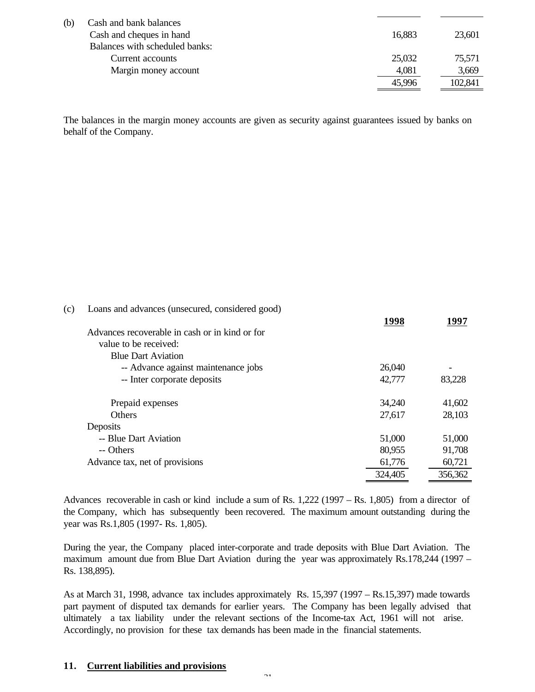| (b)<br>Cash and bank balances  |        |         |
|--------------------------------|--------|---------|
| Cash and cheques in hand       | 16,883 | 23,601  |
| Balances with scheduled banks: |        |         |
| Current accounts               | 25,032 | 75,571  |
| Margin money account           | 4,081  | 3,669   |
|                                | 45,996 | 102,841 |

The balances in the margin money accounts are given as security against guarantees issued by banks on behalf of the Company.

| (c) | Loans and advances (unsecured, considered good) |         |         |
|-----|-------------------------------------------------|---------|---------|
|     |                                                 | 1998    | 1997    |
|     | Advances recoverable in cash or in kind or for  |         |         |
|     | value to be received:                           |         |         |
|     | <b>Blue Dart Aviation</b>                       |         |         |
|     | -- Advance against maintenance jobs             | 26,040  |         |
|     | -- Inter corporate deposits                     | 42,777  | 83,228  |
|     | Prepaid expenses                                | 34,240  | 41,602  |
|     | <b>Others</b>                                   | 27,617  | 28,103  |
|     | Deposits                                        |         |         |
|     | -- Blue Dart Aviation                           | 51,000  | 51,000  |
|     | -- Others                                       | 80,955  | 91,708  |
|     | Advance tax, net of provisions                  | 61,776  | 60,721  |
|     |                                                 | 324,405 | 356,362 |

Advances recoverable in cash or kind include a sum of Rs. 1,222 (1997 – Rs. 1,805) from a director of the Company, which has subsequently been recovered. The maximum amount outstanding during the year was Rs.1,805 (1997- Rs. 1,805).

During the year, the Company placed inter-corporate and trade deposits with Blue Dart Aviation. The maximum amount due from Blue Dart Aviation during the year was approximately Rs.178,244 (1997 – Rs. 138,895).

As at March 31, 1998, advance tax includes approximately Rs. 15,397 (1997 – Rs.15,397) made towards part payment of disputed tax demands for earlier years. The Company has been legally advised that ultimately a tax liability under the relevant sections of the Income-tax Act, 1961 will not arise. Accordingly, no provision for these tax demands has been made in the financial statements.

### **11. Current liabilities and provisions**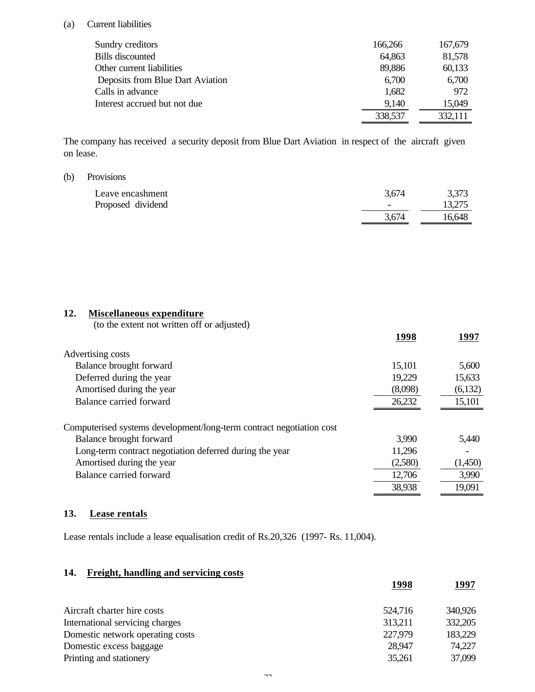### (a) Current liabilities

| Sundry creditors                 | 166,266 | 167,679 |
|----------------------------------|---------|---------|
| Bills discounted                 | 64,863  | 81,578  |
| Other current liabilities        | 89,886  | 60,133  |
| Deposits from Blue Dart Aviation | 6,700   | 6,700   |
| Calls in advance                 | 1,682   | 972     |
| Interest accrued but not due     | 9,140   | 15,049  |
|                                  | 338,537 | 332,111 |

The company has received a security deposit from Blue Dart Aviation in respect of the aircraft given on lease.

#### (b) Provisions

| Leave encashment  | 3,674  | 3,373  |
|-------------------|--------|--------|
| Proposed dividend | $\sim$ | 13,275 |
|                   | 3,674  | 16.648 |

# **12. Miscellaneous expenditure**

(to the extent not written off or adjusted)

|                                                                      | 1998    | 1997    |
|----------------------------------------------------------------------|---------|---------|
| Advertising costs                                                    |         |         |
| Balance brought forward                                              | 15,101  | 5,600   |
| Deferred during the year                                             | 19,229  | 15,633  |
| Amortised during the year                                            | (8,098) | (6,132) |
| Balance carried forward                                              | 26,232  | 15,101  |
| Computerised systems development/long-term contract negotiation cost |         |         |
| Balance brought forward                                              | 3,990   | 5,440   |
| Long-term contract negotiation deferred during the year              | 11,296  |         |
| Amortised during the year                                            | (2,580) | (1,450) |
| Balance carried forward                                              | 12,706  | 3,990   |
|                                                                      | 38,938  | 19,091  |

# **13. Lease rentals**

Lease rentals include a lease equalisation credit of Rs.20,326 (1997- Rs. 11,004).

# **14. Freight, handling and servicing costs**

| 1998    | 1997    |
|---------|---------|
| 524,716 | 340,926 |
| 313,211 | 332,205 |
| 227,979 | 183,229 |
| 28,947  | 74,227  |
| 35,261  | 37,099  |
|         |         |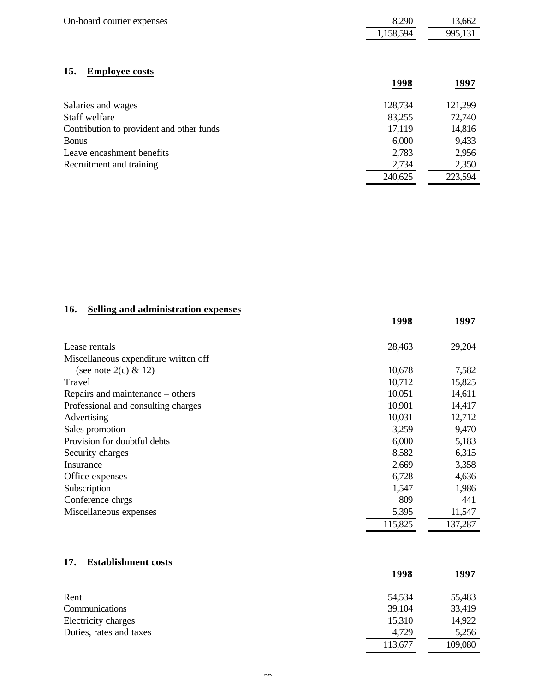| On-board courier expenses                 | 8,290     | 13,662  |
|-------------------------------------------|-----------|---------|
|                                           | 1,158,594 | 995,131 |
| <b>Employee costs</b><br>15.              | 1998      | 1997    |
| Salaries and wages                        | 128,734   | 121,299 |
| Staff welfare                             | 83,255    | 72,740  |
| Contribution to provident and other funds | 17,119    | 14,816  |
| <b>Bonus</b>                              | 6,000     | 9,433   |
| Leave encashment benefits                 | 2,783     | 2,956   |
| Recruitment and training                  | 2,734     | 2,350   |
|                                           | 240,625   | 223,594 |

# **16. Selling and administration expenses**

|                                       | 1998    | 1997    |
|---------------------------------------|---------|---------|
| Lease rentals                         | 28,463  | 29,204  |
| Miscellaneous expenditure written off |         |         |
| (see note 2(c) $& 12$ )               | 10,678  | 7,582   |
| Travel                                | 10,712  | 15,825  |
| Repairs and maintenance – others      | 10,051  | 14,611  |
| Professional and consulting charges   | 10,901  | 14,417  |
| Advertising                           | 10,031  | 12,712  |
| Sales promotion                       | 3,259   | 9,470   |
| Provision for doubtful debts          | 6,000   | 5,183   |
| Security charges                      | 8,582   | 6,315   |
| Insurance                             | 2,669   | 3,358   |
| Office expenses                       | 6,728   | 4,636   |
| Subscription                          | 1,547   | 1,986   |
| Conference chrgs                      | 809     | 441     |
| Miscellaneous expenses                | 5,395   | 11,547  |
|                                       | 115,825 | 137,287 |

# **17. Establishment costs**

|                         | 1998    | <u>1997</u> |
|-------------------------|---------|-------------|
| Rent                    | 54,534  | 55,483      |
| Communications          | 39,104  | 33,419      |
| Electricity charges     | 15,310  | 14,922      |
| Duties, rates and taxes | 4,729   | 5,256       |
|                         | 113,677 | 109,080     |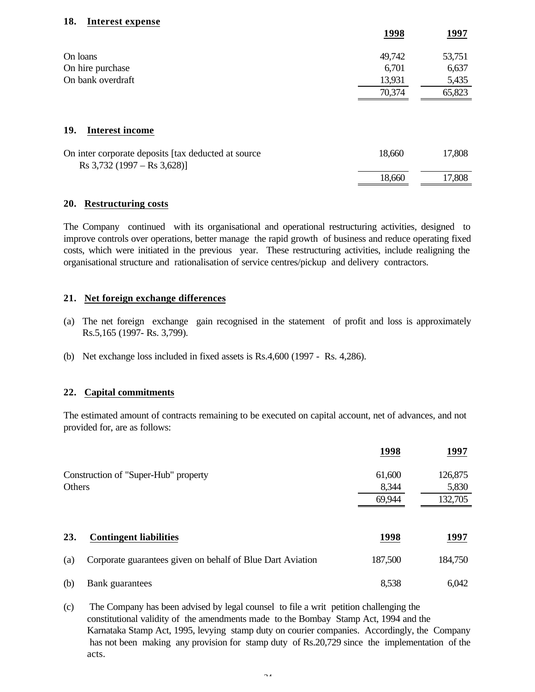#### **18. Interest expense**

|                                                                                          | 1998   | 1997   |
|------------------------------------------------------------------------------------------|--------|--------|
| On loans                                                                                 | 49,742 | 53,751 |
| On hire purchase                                                                         | 6,701  | 6,637  |
| On bank overdraft                                                                        | 13,931 | 5,435  |
|                                                                                          | 70,374 | 65,823 |
| 19.<br><b>Interest income</b>                                                            |        |        |
| On inter corporate deposits [tax deducted at source]<br>Rs $3,732$ (1997 – Rs $3,628$ )] | 18,660 | 17,808 |
|                                                                                          | 18,660 | 17,808 |

#### **20. Restructuring costs**

The Company continued with its organisational and operational restructuring activities, designed to improve controls over operations, better manage the rapid growth of business and reduce operating fixed costs, which were initiated in the previous year. These restructuring activities, include realigning the organisational structure and rationalisation of service centres/pickup and delivery contractors.

### **21. Net foreign exchange differences**

- (a) The net foreign exchange gain recognised in the statement of profit and loss is approximately Rs.5,165 (1997- Rs. 3,799).
- (b) Net exchange loss included in fixed assets is Rs.4,600 (1997 Rs. 4,286).

### **22. Capital commitments**

The estimated amount of contracts remaining to be executed on capital account, net of advances, and not provided for, are as follows:

|        |                                                            | 1998            | 1997             |
|--------|------------------------------------------------------------|-----------------|------------------|
|        | Construction of "Super-Hub" property                       | 61,600          | 126,875          |
| Others |                                                            | 8,344<br>69,944 | 5,830<br>132,705 |
|        |                                                            |                 |                  |
| 23.    | <b>Contingent liabilities</b>                              | 1998            | 1997             |
| (a)    | Corporate guarantees given on behalf of Blue Dart Aviation | 187,500         | 184,750          |
| (b)    | Bank guarantees                                            | 8,538           | 6,042            |

(c) The Company has been advised by legal counsel to file a writ petition challenging the constitutional validity of the amendments made to the Bombay Stamp Act, 1994 and the Karnataka Stamp Act, 1995, levying stamp duty on courier companies. Accordingly, the Company has not been making any provision for stamp duty of Rs.20,729 since the implementation of the acts.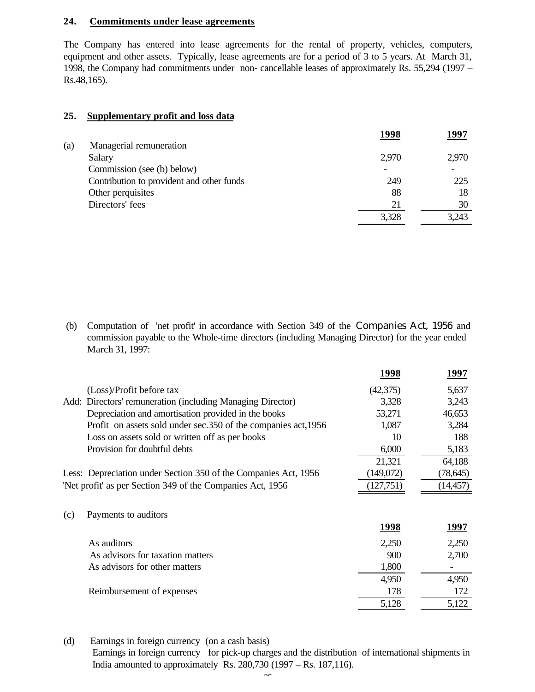### **24. Commitments under lease agreements**

The Company has entered into lease agreements for the rental of property, vehicles, computers, equipment and other assets. Typically, lease agreements are for a period of 3 to 5 years. At March 31, 1998, the Company had commitments under non- cancellable leases of approximately Rs. 55,294 (1997 – Rs.48,165).

#### **25. Supplementary profit and loss data**

|     |                                           | 1998  | 1997  |
|-----|-------------------------------------------|-------|-------|
| (a) | Managerial remuneration                   |       |       |
|     | Salary                                    | 2,970 | 2,970 |
|     | Commission (see (b) below)                |       |       |
|     | Contribution to provident and other funds | 249   | 225   |
|     | Other perquisites                         | 88    | 18    |
|     | Directors' fees                           | 21    | 30    |
|     |                                           | 3,328 | 3.243 |
|     |                                           |       |       |

 (b) Computation of 'net profit' in accordance with Section 349 of the Companies Act, 1956 and commission payable to the Whole-time directors (including Managing Director) for the year ended March 31, 1997:

|     |                                                                 | 1998      | 1997      |
|-----|-----------------------------------------------------------------|-----------|-----------|
|     | (Loss)/Profit before tax                                        | (42,375)  | 5,637     |
|     | Add: Directors' remuneration (including Managing Director)      | 3,328     | 3,243     |
|     | Depreciation and amortisation provided in the books             | 53,271    | 46,653    |
|     | Profit on assets sold under sec. 350 of the companies act, 1956 | 1,087     | 3,284     |
|     | Loss on assets sold or written off as per books                 | 10        | 188       |
|     | Provision for doubtful debts                                    | 6,000     | 5,183     |
|     |                                                                 | 21,321    | 64,188    |
|     | Less: Depreciation under Section 350 of the Companies Act, 1956 | (149,072) | (78, 645) |
|     | 'Net profit' as per Section 349 of the Companies Act, 1956      | (127,751) | (14, 457) |
|     |                                                                 |           |           |
| (c) | Payments to auditors                                            |           |           |
|     |                                                                 | 1998      | 1997      |
|     | As auditors                                                     | 2,250     | 2,250     |
|     | As advisors for taxation matters                                | 900       | 2,700     |
|     | As advisors for other matters                                   | 1,800     |           |
|     |                                                                 | 4,950     | 4,950     |
|     | Reimbursement of expenses                                       | 178       | 172       |
|     |                                                                 | 5,128     | 5,122     |
|     |                                                                 |           |           |

(d) Earnings in foreign currency (on a cash basis)

 Earnings in foreign currency for pick-up charges and the distribution of international shipments in India amounted to approximately Rs. 280,730 (1997 – Rs. 187,116).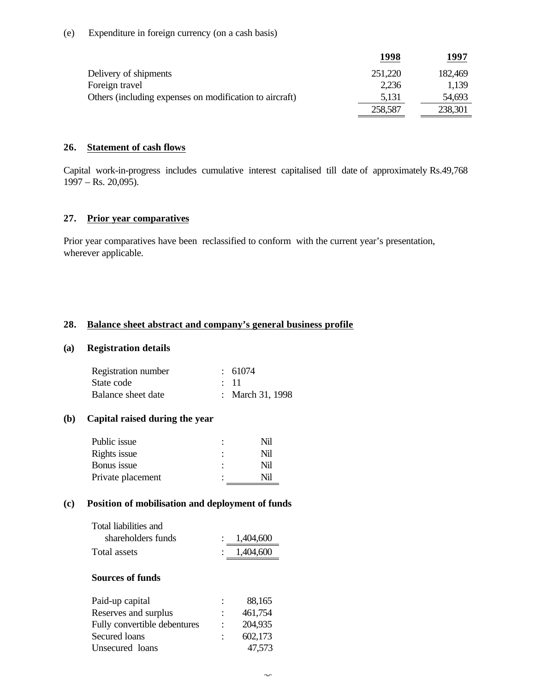|                                                         | 1998    | 1997    |
|---------------------------------------------------------|---------|---------|
| Delivery of shipments                                   | 251,220 | 182,469 |
| Foreign travel                                          | 2,236   | 1,139   |
| Others (including expenses on modification to aircraft) | 5,131   | 54,693  |
|                                                         | 258,587 | 238,301 |

#### **26. Statement of cash flows**

Capital work-in-progress includes cumulative interest capitalised till date of approximately Rs.49,768 1997 – Rs. 20,095).

### **27. Prior year comparatives**

Prior year comparatives have been reclassified to conform with the current year's presentation, wherever applicable.

#### **28. Balance sheet abstract and company's general business profile**

#### **(a) Registration details**

| Registration number | $\div$ 61074     |
|---------------------|------------------|
| State code          | $\therefore$ 11  |
| Balance sheet date  | : March 31, 1998 |

#### **(b) Capital raised during the year**

|   | Nil |
|---|-----|
| ٠ | Nil |
| ٠ | Nil |
|   | Nil |
|   |     |

#### **(c) Position of mobilisation and deployment of funds**

| Total liabilities and |             |
|-----------------------|-------------|
| shareholders funds    | 1,404,600   |
| Total assets          | : 1,404,600 |

### **Sources of funds**

| Paid-up capital              | 88,165  |
|------------------------------|---------|
| Reserves and surplus         | 461,754 |
| Fully convertible debentures | 204,935 |
| Secured loans                | 602,173 |
| Unsecured loans              | 47,573  |